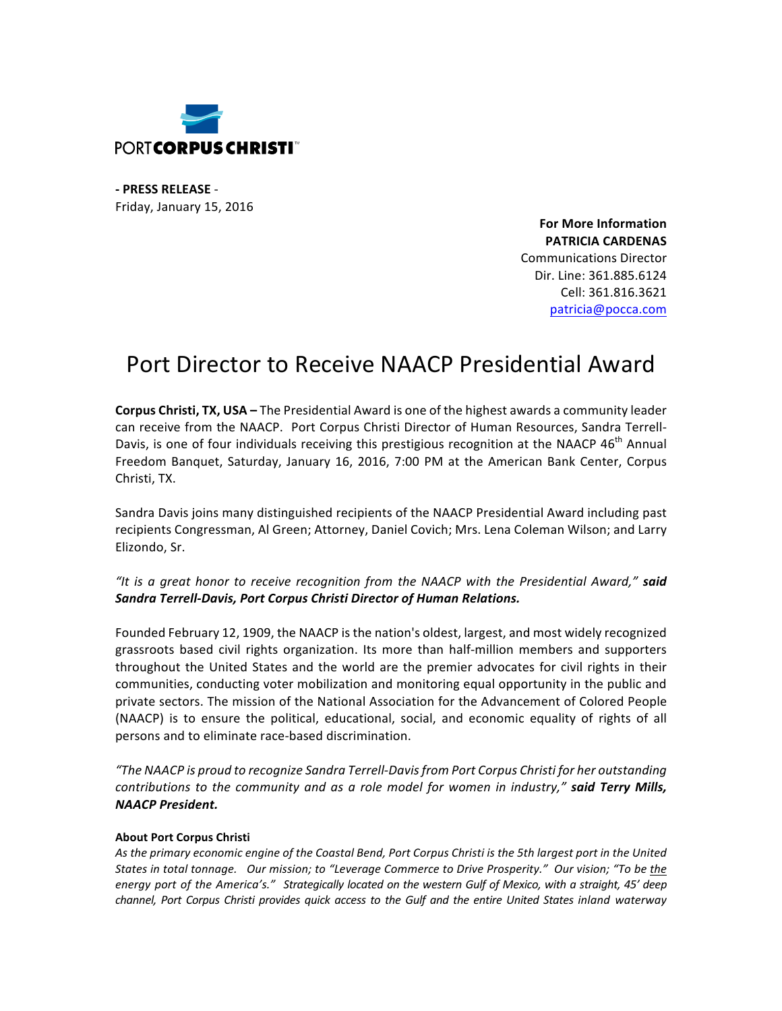

**- PRESS RELEASE** - Friday, January 15, 2016

> **For More Information PATRICIA CARDENAS** Communications Director Dir. Line: 361.885.6124 Cell: 361.816.3621 patricia@pocca.com

## Port Director to Receive NAACP Presidential Award

**Corpus Christi, TX, USA** – The Presidential Award is one of the highest awards a community leader can receive from the NAACP. Port Corpus Christi Director of Human Resources, Sandra Terrell-Davis, is one of four individuals receiving this prestigious recognition at the NAACP  $46^{th}$  Annual Freedom Banquet, Saturday, January 16, 2016, 7:00 PM at the American Bank Center, Corpus Christi, TX.

Sandra Davis joins many distinguished recipients of the NAACP Presidential Award including past recipients Congressman, Al Green; Attorney, Daniel Covich; Mrs. Lena Coleman Wilson; and Larry Elizondo, Sr.

"It is a great honor to receive recognition from the NAACP with the Presidential Award," said **Sandra Terrell-Davis, Port Corpus Christi Director of Human Relations.** 

Founded February 12, 1909, the NAACP is the nation's oldest, largest, and most widely recognized grassroots based civil rights organization. Its more than half-million members and supporters throughout the United States and the world are the premier advocates for civil rights in their communities, conducting voter mobilization and monitoring equal opportunity in the public and private sectors. The mission of the National Association for the Advancement of Colored People (NAACP) is to ensure the political, educational, social, and economic equality of rights of all persons and to eliminate race-based discrimination.

*"The NAACP is proud to recognize Sandra Terrell-Davis from Port Corpus Christi for her outstanding contributions to the community and as a role model for women in industry,"* said Terry Mills, *NAACP President.* 

## **About Port Corpus Christi**

As the primary economic engine of the Coastal Bend, Port Corpus Christi is the 5th largest port in the United States in total tonnage. Our mission; to "Leverage Commerce to Drive Prosperity." Our vision; "To be the energy port of the America's." Strategically located on the western Gulf of Mexico, with a straight, 45' deep *channel, Port Corpus Christi provides quick access to the Gulf and the entire United States inland waterway*